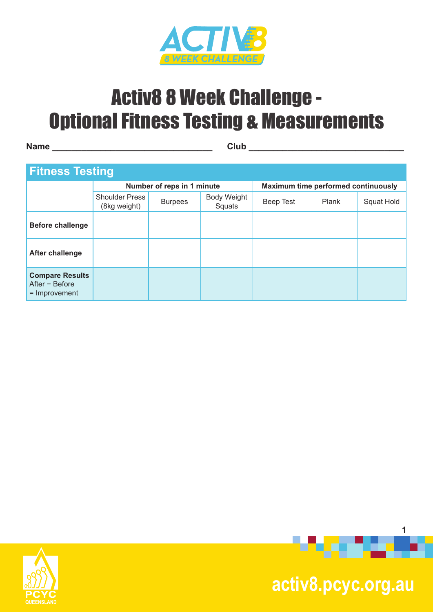

**Name \_\_\_\_\_\_\_\_\_\_\_\_\_\_\_\_\_\_\_\_\_\_\_\_\_\_\_\_\_\_\_\_\_ Club \_\_\_\_\_\_\_\_\_\_\_\_\_\_\_\_\_\_\_\_\_\_\_\_\_\_\_\_\_\_\_\_**

#### **Fitness Testing**

| $\blacksquare$                                                |                                       |                            |                              |                                            |       |            |  |  |
|---------------------------------------------------------------|---------------------------------------|----------------------------|------------------------------|--------------------------------------------|-------|------------|--|--|
|                                                               |                                       | Number of reps in 1 minute |                              | <b>Maximum time performed continuously</b> |       |            |  |  |
|                                                               | <b>Shoulder Press</b><br>(8kg weight) | <b>Burpees</b>             | <b>Body Weight</b><br>Squats | Beep Test                                  | Plank | Squat Hold |  |  |
| <b>Before challenge</b>                                       |                                       |                            |                              |                                            |       |            |  |  |
| After challenge                                               |                                       |                            |                              |                                            |       |            |  |  |
| <b>Compare Results</b><br>After $-$ Before<br>$=$ Improvement |                                       |                            |                              |                                            |       |            |  |  |





 **activ8.pcyc.org.au**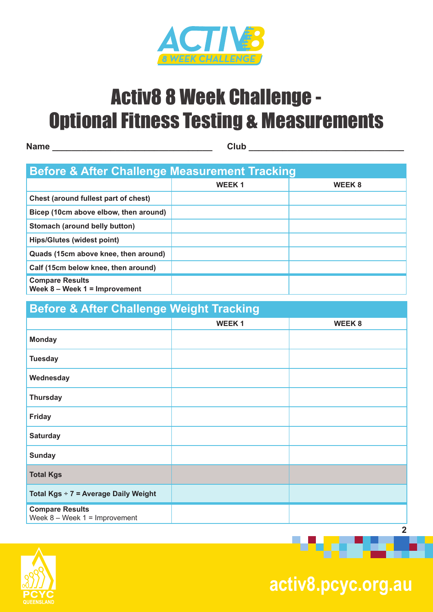

**Name \_\_\_\_\_\_\_\_\_\_\_\_\_\_\_\_\_\_\_\_\_\_\_\_\_\_\_\_\_\_\_\_\_ Club \_\_\_\_\_\_\_\_\_\_\_\_\_\_\_\_\_\_\_\_\_\_\_\_\_\_\_\_\_\_\_\_**

| <b>Before &amp; After Challenge Measurement Tracking</b>    |                   |              |  |  |  |  |
|-------------------------------------------------------------|-------------------|--------------|--|--|--|--|
|                                                             | WEEK <sub>1</sub> | <b>WEEK8</b> |  |  |  |  |
| Chest (around fullest part of chest)                        |                   |              |  |  |  |  |
| Bicep (10cm above elbow, then around)                       |                   |              |  |  |  |  |
| Stomach (around belly button)                               |                   |              |  |  |  |  |
| <b>Hips/Glutes (widest point)</b>                           |                   |              |  |  |  |  |
| Quads (15cm above knee, then around)                        |                   |              |  |  |  |  |
| Calf (15cm below knee, then around)                         |                   |              |  |  |  |  |
| <b>Compare Results</b><br>Week $8 -$ Week $1 =$ Improvement |                   |              |  |  |  |  |

### **Before & After Challenge Weight Tracking WEEK 1 WEEK 8 Monday Tuesday Wednesday Thursday Friday Saturday Sunday Total Kgs Total Kgs** ÷ **7 = Average Daily Weight Compare Results**  Week 8 – Week 1 = Improvement



 **activ8.pcyc.org.au**

**2**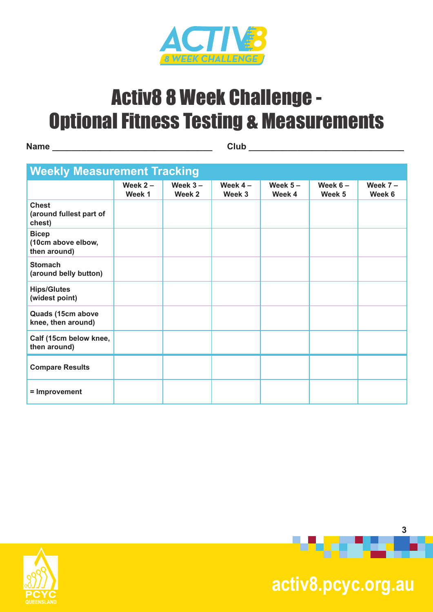

**Name \_\_\_\_\_\_\_\_\_\_\_\_\_\_\_\_\_\_\_\_\_\_\_\_\_\_\_\_\_\_\_\_\_ Club \_\_\_\_\_\_\_\_\_\_\_\_\_\_\_\_\_\_\_\_\_\_\_\_\_\_\_\_\_\_\_\_**

| <b>Weekly Measurement Tracking</b>                 |                      |                      |                     |                     |                     |                     |
|----------------------------------------------------|----------------------|----------------------|---------------------|---------------------|---------------------|---------------------|
|                                                    | Week $2 -$<br>Week 1 | Week $3 -$<br>Week 2 | Week $4-$<br>Week 3 | Week $5-$<br>Week 4 | Week $6-$<br>Week 5 | Week $7-$<br>Week 6 |
| <b>Chest</b><br>(around fullest part of<br>chest)  |                      |                      |                     |                     |                     |                     |
| <b>Bicep</b><br>(10cm above elbow,<br>then around) |                      |                      |                     |                     |                     |                     |
| <b>Stomach</b><br>(around belly button)            |                      |                      |                     |                     |                     |                     |
| <b>Hips/Glutes</b><br>(widest point)               |                      |                      |                     |                     |                     |                     |
| Quads (15cm above<br>knee, then around)            |                      |                      |                     |                     |                     |                     |
| Calf (15cm below knee,<br>then around)             |                      |                      |                     |                     |                     |                     |
| <b>Compare Results</b>                             |                      |                      |                     |                     |                     |                     |
| = Improvement                                      |                      |                      |                     |                     |                     |                     |





# **activ8.pcyc.org.au**